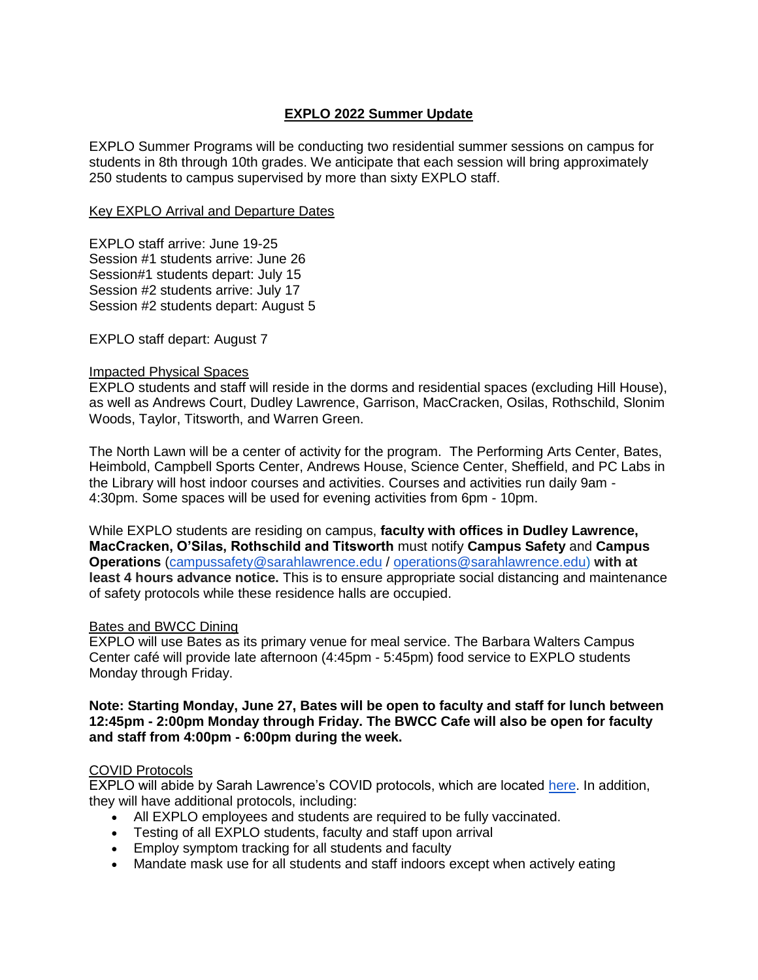# **EXPLO 2022 Summer Update**

EXPLO Summer Programs will be conducting two residential summer sessions on campus for students in 8th through 10th grades. We anticipate that each session will bring approximately 250 students to campus supervised by more than sixty EXPLO staff.

### Key EXPLO Arrival and Departure Dates

EXPLO staff arrive: June 19-25 Session #1 students arrive: June 26 Session#1 students depart: July 15 Session #2 students arrive: July 17 Session #2 students depart: August 5

EXPLO staff depart: August 7

#### Impacted Physical Spaces

EXPLO students and staff will reside in the dorms and residential spaces (excluding Hill House), as well as Andrews Court, Dudley Lawrence, Garrison, MacCracken, Osilas, Rothschild, Slonim Woods, Taylor, Titsworth, and Warren Green.

The North Lawn will be a center of activity for the program. The Performing Arts Center, Bates, Heimbold, Campbell Sports Center, Andrews House, Science Center, Sheffield, and PC Labs in the Library will host indoor courses and activities. Courses and activities run daily 9am - 4:30pm. Some spaces will be used for evening activities from 6pm - 10pm.

While EXPLO students are residing on campus, **faculty with offices in Dudley Lawrence, MacCracken, O'Silas, Rothschild and Titsworth** must notify **Campus Safety** and **Campus Operations** [\(campussafety@sarahlawrence.edu](mailto:campussafety@sarahlawrence.edu) / [operations@sarahlawrence.edu\)](mailto:operations@sarahlawrence.edu) **with at least 4 hours advance notice.** This is to ensure appropriate social distancing and maintenance of safety protocols while these residence halls are occupied.

#### Bates and BWCC Dining

EXPLO will use Bates as its primary venue for meal service. The Barbara Walters Campus Center café will provide late afternoon (4:45pm - 5:45pm) food service to EXPLO students Monday through Friday.

#### **Note: Starting Monday, June 27, Bates will be open to faculty and staff for lunch between 12:45pm - 2:00pm Monday through Friday. The BWCC Cafe will also be open for faculty and staff from 4:00pm - 6:00pm during the week.**

## COVID Protocols

EXPLO will abide by Sarah Lawrence's COVID protocols, which are located [here.](https://www.sarahlawrence.edu/semester-information/) In addition, they will have additional protocols, including:

- All EXPLO employees and students are required to be fully vaccinated.
- Testing of all EXPLO students, faculty and staff upon arrival
- Employ symptom tracking for all students and faculty
- Mandate mask use for all students and staff indoors except when actively eating